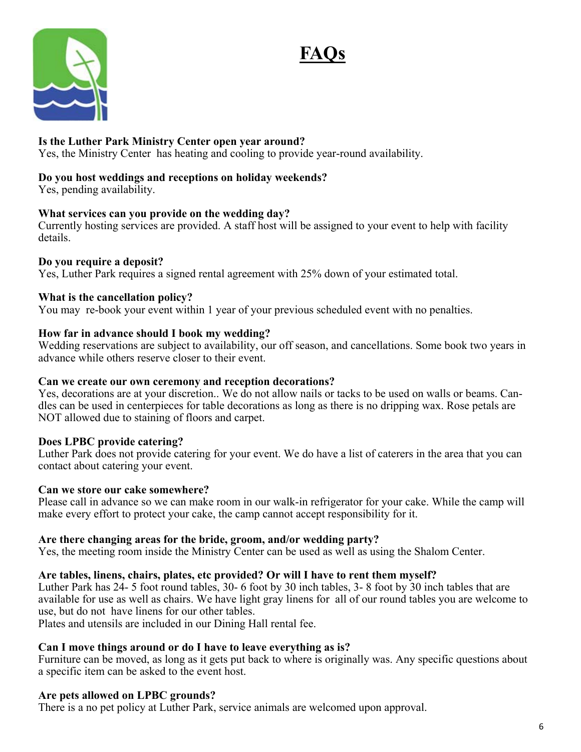



## **Is the Luther Park Ministry Center open year around?**

Yes, the Ministry Center has heating and cooling to provide year-round availability.

## **Do you host weddings and receptions on holiday weekends?**

Yes, pending availability.

## **What services can you provide on the wedding day?**

Currently hosting services are provided. A staff host will be assigned to your event to help with facility details.

## **Do you require a deposit?**

Yes, Luther Park requires a signed rental agreement with 25% down of your estimated total.

## **What is the cancellation policy?**

You may re-book your event within 1 year of your previous scheduled event with no penalties.

## **How far in advance should I book my wedding?**

Wedding reservations are subject to availability, our off season, and cancellations. Some book two years in advance while others reserve closer to their event.

#### **Can we create our own ceremony and reception decorations?**

Yes, decorations are at your discretion.. We do not allow nails or tacks to be used on walls or beams. Candles can be used in centerpieces for table decorations as long as there is no dripping wax. Rose petals are NOT allowed due to staining of floors and carpet.

## **Does LPBC provide catering?**

Luther Park does not provide catering for your event. We do have a list of caterers in the area that you can contact about catering your event.

#### **Can we store our cake somewhere?**

Please call in advance so we can make room in our walk-in refrigerator for your cake. While the camp will make every effort to protect your cake, the camp cannot accept responsibility for it.

## **Are there changing areas for the bride, groom, and/or wedding party?**

Yes, the meeting room inside the Ministry Center can be used as well as using the Shalom Center.

## **Are tables, linens, chairs, plates, etc provided? Or will I have to rent them myself?**

Luther Park has 24- 5 foot round tables, 30- 6 foot by 30 inch tables, 3- 8 foot by 30 inch tables that are available for use as well as chairs. We have light gray linens for all of our round tables you are welcome to use, but do not have linens for our other tables.

Plates and utensils are included in our Dining Hall rental fee.

## **Can I move things around or do I have to leave everything as is?**

Furniture can be moved, as long as it gets put back to where is originally was. Any specific questions about a specific item can be asked to the event host.

## **Are pets allowed on LPBC grounds?**

There is a no pet policy at Luther Park, service animals are welcomed upon approval.